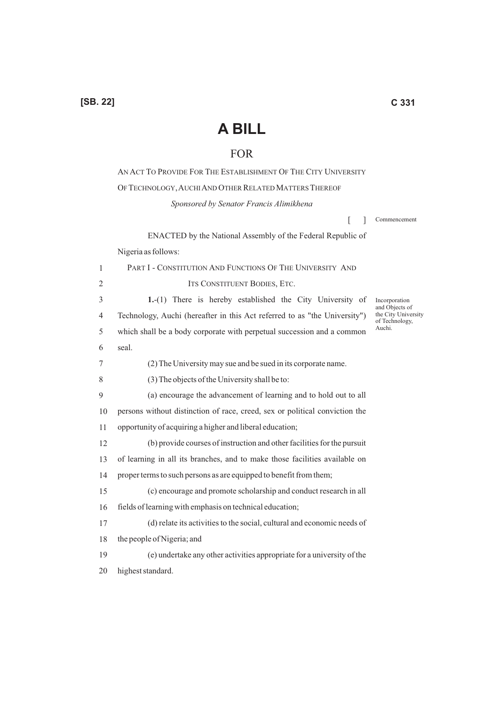## **A BILL**

## FOR

AN ACT TO PROVIDE FOR THE ESTABLISHMENT OF THE CITY UNIVERSITY OF TECHNOLOGY, AUCHI AND OTHER RELATED MATTERS THEREOF

*Sponsored by Senator Francis Alimikhena*

 $\lceil$   $\rceil$ Commencement

ENACTED by the National Assembly of the Federal Republic of Nigeria as follows:

1 2 3 4 5 6 7 8 9 10 11 12 13 14 15 16 17 18 19 20 PART I - CONSTITUTION AND FUNCTIONS OF THE UNIVERSITY AND ITS CONSTITUENT BODIES, ETC. **1.**-(1) There is hereby established the City University of Technology, Auchi (hereafter in this Act referred to as "the University") which shall be a body corporate with perpetual succession and a common seal. (2) The University may sue and be sued in its corporate name. (3) The objects of the University shall be to: (a) encourage the advancement of learning and to hold out to all persons without distinction of race, creed, sex or political conviction the opportunity of acquiring a higher and liberal education; (b) provide courses of instruction and other facilities for the pursuit of learning in all its branches, and to make those facilities available on proper terms to such persons as are equipped to benefit from them; (c) encourage and promote scholarship and conduct research in all fields of learning with emphasis on technical education; (d) relate its activities to the social, cultural and economic needs of the people of Nigeria; and (e) undertake any other activities appropriate for a university of the highest standard. Incorporation and Objects of the City University of Technology, Auchi.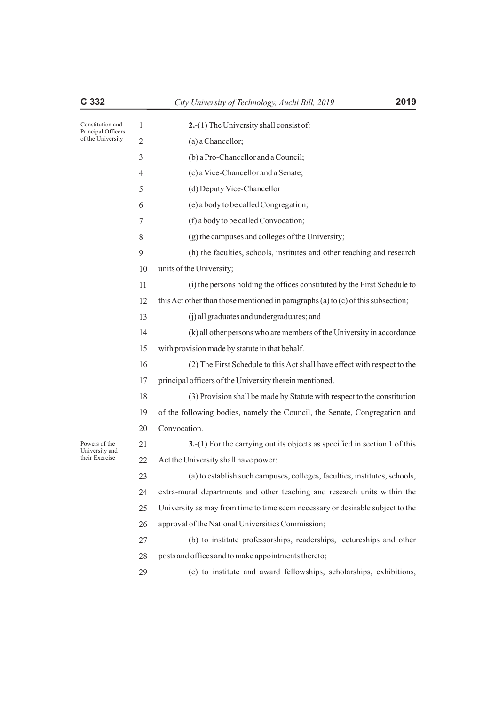| Constitution and<br>Principal Officers<br>of the University | 1              | 2.-(1) The University shall consist of:                                          |
|-------------------------------------------------------------|----------------|----------------------------------------------------------------------------------|
|                                                             | 2              | (a) a Chancellor;                                                                |
|                                                             | 3              | (b) a Pro-Chancellor and a Council;                                              |
|                                                             | $\overline{4}$ | (c) a Vice-Chancellor and a Senate;                                              |
|                                                             | 5              | (d) Deputy Vice-Chancellor                                                       |
|                                                             | 6              | (e) a body to be called Congregation;                                            |
|                                                             | 7              | (f) a body to be called Convocation;                                             |
|                                                             | 8              | (g) the campuses and colleges of the University;                                 |
|                                                             | 9              | (h) the faculties, schools, institutes and other teaching and research           |
|                                                             | 10             | units of the University;                                                         |
|                                                             | 11             | (i) the persons holding the offices constituted by the First Schedule to         |
|                                                             | 12             | this Act other than those mentioned in paragraphs (a) to (c) of this subsection; |
|                                                             | 13             | (j) all graduates and undergraduates; and                                        |
|                                                             | 14             | (k) all other persons who are members of the University in accordance            |
|                                                             | 15             | with provision made by statute in that behalf.                                   |
|                                                             | 16             | (2) The First Schedule to this Act shall have effect with respect to the         |
|                                                             | 17             | principal officers of the University therein mentioned.                          |
|                                                             | 18             | (3) Provision shall be made by Statute with respect to the constitution          |
|                                                             | 19             | of the following bodies, namely the Council, the Senate, Congregation and        |
|                                                             | 20             | Convocation.                                                                     |
| Powers of the<br>University and                             | 21             | 3.-(1) For the carrying out its objects as specified in section 1 of this        |
| their Exercise                                              | 22             | Act the University shall have power:                                             |
|                                                             | 23             | (a) to establish such campuses, colleges, faculties, institutes, schools,        |
|                                                             | 24             | extra-mural departments and other teaching and research units within the         |
|                                                             | 25             | University as may from time to time seem necessary or desirable subject to the   |
|                                                             | 26             | approval of the National Universities Commission;                                |
|                                                             | 27             | (b) to institute professorships, readerships, lectureships and other             |
|                                                             | 28             | posts and offices and to make appointments thereto;                              |
|                                                             | 29             | (c) to institute and award fellowships, scholarships, exhibitions,               |
|                                                             |                |                                                                                  |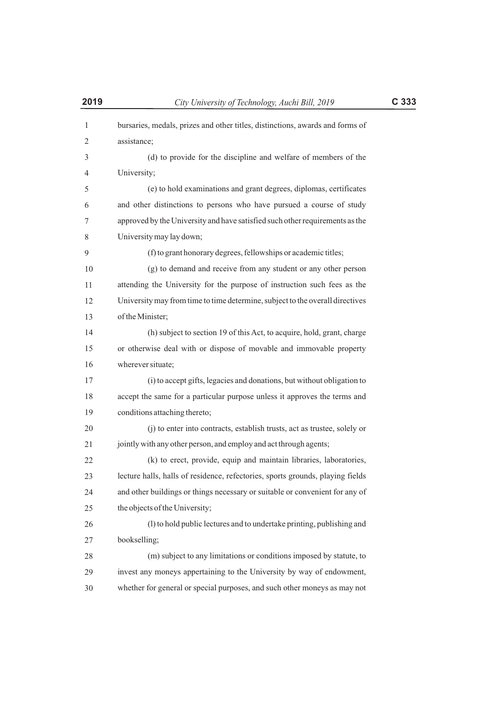| 2019         | City University of Technology, Auchi Bill, 2019                                | C 333 |
|--------------|--------------------------------------------------------------------------------|-------|
| $\mathbf{1}$ | bursaries, medals, prizes and other titles, distinctions, awards and forms of  |       |
| 2            | assistance;                                                                    |       |
| 3            | (d) to provide for the discipline and welfare of members of the                |       |
| 4            | University;                                                                    |       |
| 5            | (e) to hold examinations and grant degrees, diplomas, certificates             |       |
| 6            | and other distinctions to persons who have pursued a course of study           |       |
| 7            | approved by the University and have satisfied such other requirements as the   |       |
| 8            | University may lay down;                                                       |       |
| 9            | (f) to grant honorary degrees, fellowships or academic titles;                 |       |
| 10           | (g) to demand and receive from any student or any other person                 |       |
| 11           | attending the University for the purpose of instruction such fees as the       |       |
| 12           | University may from time to time determine, subject to the overall directives  |       |
| 13           | of the Minister;                                                               |       |
| 14           | (h) subject to section 19 of this Act, to acquire, hold, grant, charge         |       |
| 15           | or otherwise deal with or dispose of movable and immovable property            |       |
| 16           | wherever situate;                                                              |       |
| 17           | (i) to accept gifts, legacies and donations, but without obligation to         |       |
| 18           | accept the same for a particular purpose unless it approves the terms and      |       |
| 19           | conditions attaching thereto;                                                  |       |
| 20           | (j) to enter into contracts, establish trusts, act as trustee, solely or       |       |
| 21           | jointly with any other person, and employ and act through agents;              |       |
| 22           | (k) to erect, provide, equip and maintain libraries, laboratories,             |       |
| 23           | lecture halls, halls of residence, refectories, sports grounds, playing fields |       |
| 24           | and other buildings or things necessary or suitable or convenient for any of   |       |
| 25           | the objects of the University;                                                 |       |
| 26           | (1) to hold public lectures and to undertake printing, publishing and          |       |
| 27           | bookselling;                                                                   |       |
| 28           | (m) subject to any limitations or conditions imposed by statute, to            |       |
| 29           | invest any moneys appertaining to the University by way of endowment,          |       |
| 30           | whether for general or special purposes, and such other moneys as may not      |       |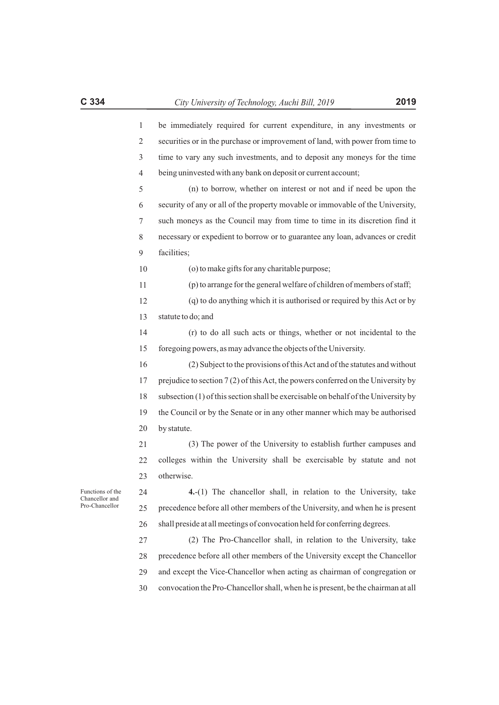| 1  | be immediately required for current expenditure, in any investments or             |
|----|------------------------------------------------------------------------------------|
| 2  | securities or in the purchase or improvement of land, with power from time to      |
| 3  | time to vary any such investments, and to deposit any moneys for the time          |
| 4  | being uninvested with any bank on deposit or current account;                      |
| 5  | (n) to borrow, whether on interest or not and if need be upon the                  |
| 6  | security of any or all of the property movable or immovable of the University,     |
| 7  | such moneys as the Council may from time to time in its discretion find it         |
| 8  | necessary or expedient to borrow or to guarantee any loan, advances or credit      |
| 9  | facilities;                                                                        |
| 10 | (o) to make gifts for any charitable purpose;                                      |
| 11 | (p) to arrange for the general welfare of children of members of staff;            |
| 12 | (q) to do anything which it is authorised or required by this Act or by            |
| 13 | statute to do; and                                                                 |
| 14 | (r) to do all such acts or things, whether or not incidental to the                |
| 15 | foregoing powers, as may advance the objects of the University.                    |
| 16 | (2) Subject to the provisions of this Act and of the statutes and without          |
| 17 | prejudice to section 7(2) of this Act, the powers conferred on the University by   |
| 18 | subsection (1) of this section shall be exercisable on behalf of the University by |
| 19 | the Council or by the Senate or in any other manner which may be authorised        |
| 20 | by statute.                                                                        |
| 21 |                                                                                    |
|    | (3) The power of the University to establish further campuses and                  |
| 22 | colleges within the University shall be exercisable by statute and not             |
| 23 | otherwise.                                                                         |
| 24 | 4.-(1) The chancellor shall, in relation to the University, take                   |
| 25 | precedence before all other members of the University, and when he is present      |
| 26 | shall preside at all meetings of convocation held for conferring degrees.          |
| 27 | (2) The Pro-Chancellor shall, in relation to the University, take                  |

29 and except the Vice-Chancellor when acting as chairman of congregation or

30 convocation the Pro-Chancellor shall, when he is present, be the chairman at all

Functions of the Chancellor and Pro-Chancellor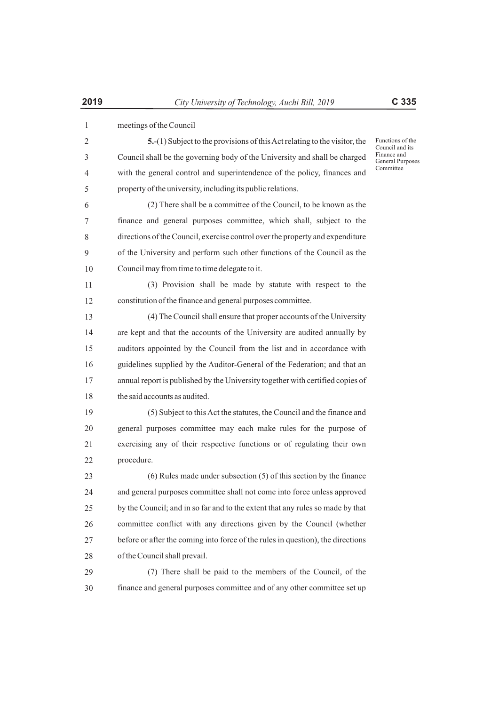| $\mathbf{1}$ | meetings of the Council                                                         |                                        |
|--------------|---------------------------------------------------------------------------------|----------------------------------------|
| 2            | 5.-(1) Subject to the provisions of this Act relating to the visitor, the       | Functions of the<br>Council and its    |
| 3            | Council shall be the governing body of the University and shall be charged      | Finance and<br><b>General Purposes</b> |
| 4            | with the general control and superintendence of the policy, finances and        | Committee                              |
| 5            | property of the university, including its public relations.                     |                                        |
| 6            | (2) There shall be a committee of the Council, to be known as the               |                                        |
| 7            | finance and general purposes committee, which shall, subject to the             |                                        |
| 8            | directions of the Council, exercise control over the property and expenditure   |                                        |
| 9            | of the University and perform such other functions of the Council as the        |                                        |
| 10           | Council may from time to time delegate to it.                                   |                                        |
| 11           | (3) Provision shall be made by statute with respect to the                      |                                        |
| 12           | constitution of the finance and general purposes committee.                     |                                        |
| 13           | (4) The Council shall ensure that proper accounts of the University             |                                        |
| 14           | are kept and that the accounts of the University are audited annually by        |                                        |
| 15           | auditors appointed by the Council from the list and in accordance with          |                                        |
| 16           | guidelines supplied by the Auditor-General of the Federation; and that an       |                                        |
| 17           | annual report is published by the University together with certified copies of  |                                        |
| 18           | the said accounts as audited.                                                   |                                        |
| 19           | (5) Subject to this Act the statutes, the Council and the finance and           |                                        |
| 20           | general purposes committee may each make rules for the purpose of               |                                        |
| 21           | exercising any of their respective functions or of regulating their own         |                                        |
| 22           | procedure.                                                                      |                                        |
| 23           | $(6)$ Rules made under subsection $(5)$ of this section by the finance          |                                        |
| 24           | and general purposes committee shall not come into force unless approved        |                                        |
| 25           | by the Council; and in so far and to the extent that any rules so made by that  |                                        |
| 26           | committee conflict with any directions given by the Council (whether            |                                        |
| 27           | before or after the coming into force of the rules in question), the directions |                                        |
| 28           | of the Council shall prevail.                                                   |                                        |
| 29           | (7) There shall be paid to the members of the Council, of the                   |                                        |
| 30           | finance and general purposes committee and of any other committee set up        |                                        |
|              |                                                                                 |                                        |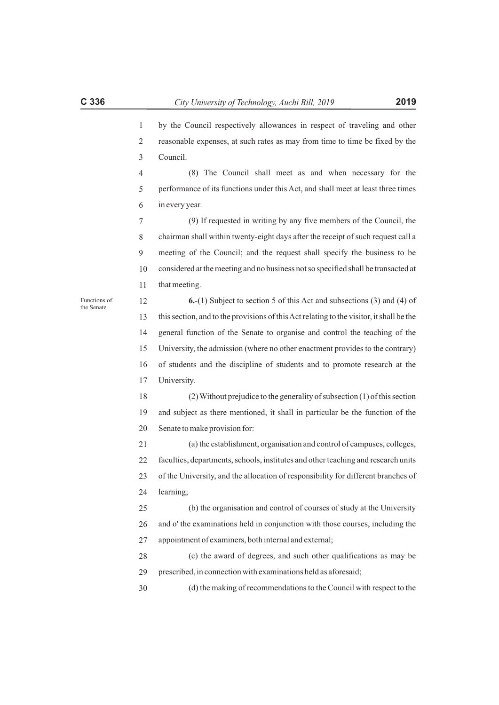1 2 3 4 5 6 7 8 9 10 11 12 13 14 15 16 17 18 19 20 21 22 23 24 25 26 27 28 29 30 by the Council respectively allowances in respect of traveling and other reasonable expenses, at such rates as may from time to time be fixed by the Council. (8) The Council shall meet as and when necessary for the performance of its functions under this Act, and shall meet at least three times in every year. (9) If requested in writing by any five members of the Council, the chairman shall within twenty-eight days after the receipt of such request call a meeting of the Council; and the request shall specify the business to be considered at the meeting and no business not so specified shall be transacted at that meeting. **6.**-(1) Subject to section 5 of this Act and subsections (3) and (4) of this section, and to the provisions of this Act relating to the visitor, it shall be the general function of the Senate to organise and control the teaching of the University, the admission (where no other enactment provides to the contrary) of students and the discipline of students and to promote research at the University. (2) Without prejudice to the generality of subsection (1) of this section and subject as there mentioned, it shall in particular be the function of the Senate to make provision for: (a) the establishment, organisation and control of campuses, colleges, faculties, departments, schools, institutes and other teaching and research units of the University, and the allocation of responsibility for different branches of learning; (b) the organisation and control of courses of study at the University and o' the examinations held in conjunction with those courses, including the appointment of examiners, both internal and external; (c) the award of degrees, and such other qualifications as may be prescribed, in connection with examinations held as aforesaid; (d) the making of recommendations to the Council with respect to the Functions of the Senate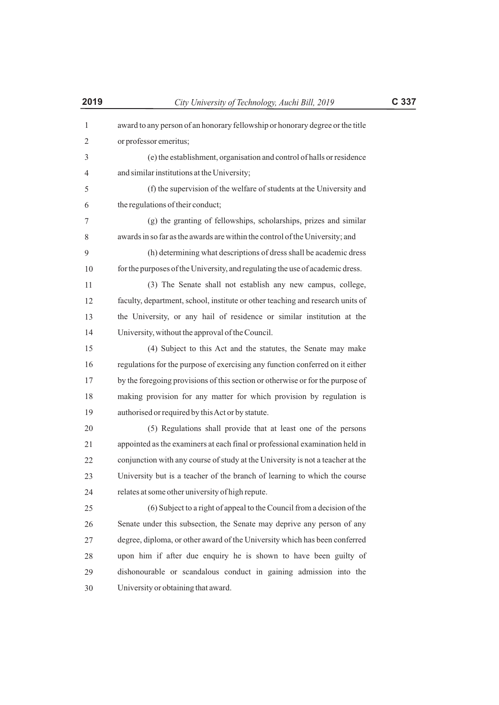| $\mathbf{1}$ | award to any person of an honorary fellowship or honorary degree or the title  |
|--------------|--------------------------------------------------------------------------------|
| 2            | or professor emeritus;                                                         |
| 3            | (e) the establishment, organisation and control of halls or residence          |
| 4            | and similar institutions at the University;                                    |
| 5            | (f) the supervision of the welfare of students at the University and           |
| 6            | the regulations of their conduct;                                              |
| 7            | (g) the granting of fellowships, scholarships, prizes and similar              |
| 8            | awards in so far as the awards are within the control of the University; and   |
| 9            | (h) determining what descriptions of dress shall be academic dress             |
| 10           | for the purposes of the University, and regulating the use of academic dress.  |
| 11           | (3) The Senate shall not establish any new campus, college,                    |
| 12           | faculty, department, school, institute or other teaching and research units of |
| 13           | the University, or any hail of residence or similar institution at the         |
| 14           | University, without the approval of the Council.                               |
| 15           | (4) Subject to this Act and the statutes, the Senate may make                  |
| 16           | regulations for the purpose of exercising any function conferred on it either  |
| 17           | by the foregoing provisions of this section or otherwise or for the purpose of |
| 18           | making provision for any matter for which provision by regulation is           |
| 19           | authorised or required by this Act or by statute.                              |
| 20           | (5) Regulations shall provide that at least one of the persons                 |
| 21           | appointed as the examiners at each final or professional examination held in   |
| 22           | conjunction with any course of study at the University is not a teacher at the |
| 23           | University but is a teacher of the branch of learning to which the course      |
| 24           | relates at some other university of high repute.                               |
| 25           | (6) Subject to a right of appeal to the Council from a decision of the         |
| 26           | Senate under this subsection, the Senate may deprive any person of any         |
| 27           | degree, diploma, or other award of the University which has been conferred     |
| 28           | upon him if after due enquiry he is shown to have been guilty of               |
| 29           | dishonourable or scandalous conduct in gaining admission into the              |
| 30           | University or obtaining that award.                                            |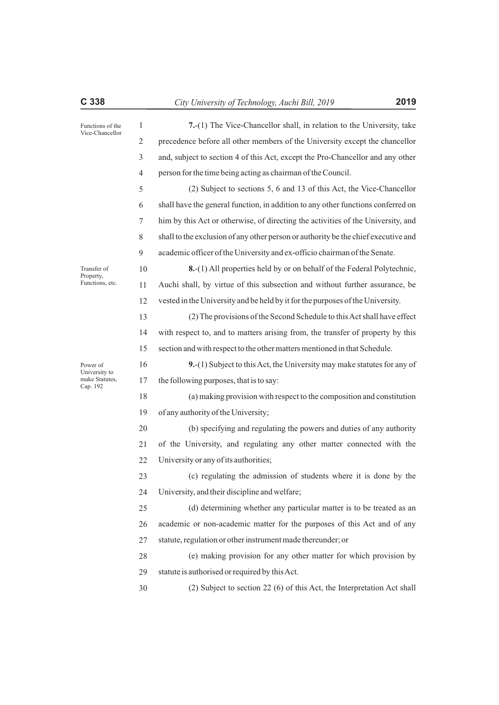| C 338                                  |                | 2019<br>City University of Technology, Auchi Bill, 2019                            |
|----------------------------------------|----------------|------------------------------------------------------------------------------------|
| Functions of the                       | $\mathbf{1}$   | 7.-(1) The Vice-Chancellor shall, in relation to the University, take              |
| Vice-Chancellor                        | 2              | precedence before all other members of the University except the chancellor        |
|                                        | 3              | and, subject to section 4 of this Act, except the Pro-Chancellor and any other     |
|                                        | $\overline{4}$ | person for the time being acting as chairman of the Council.                       |
|                                        | 5              | (2) Subject to sections 5, 6 and 13 of this Act, the Vice-Chancellor               |
|                                        | 6              | shall have the general function, in addition to any other functions conferred on   |
|                                        | 7              | him by this Act or otherwise, of directing the activities of the University, and   |
|                                        | 8              | shall to the exclusion of any other person or authority be the chief executive and |
|                                        | 9              | academic officer of the University and ex-officio chairman of the Senate.          |
| Transfer of                            | 10             | 8.-(1) All properties held by or on behalf of the Federal Polytechnic,             |
| Functions, etc.                        | 11             | Auchi shall, by virtue of this subsection and without further assurance, be        |
|                                        | 12             | vested in the University and be held by it for the purposes of the University.     |
|                                        | 13             | (2) The provisions of the Second Schedule to this Act shall have effect            |
|                                        | 14             | with respect to, and to matters arising from, the transfer of property by this     |
|                                        | 15             | section and with respect to the other matters mentioned in that Schedule.          |
| Power of                               | 16             | 9.-(1) Subject to this Act, the University may make statutes for any of            |
| make Statutes,                         | 17             | the following purposes, that is to say:                                            |
| Property,<br>University to<br>Cap. 192 | 18             | (a) making provision with respect to the composition and constitution              |
|                                        | 19             | of any authority of the University;                                                |
|                                        | 20             | (b) specifying and regulating the powers and duties of any authority               |
|                                        | 21             | of the University, and regulating any other matter connected with the              |
|                                        | 22             | University or any of its authorities;                                              |
|                                        | 23             | (c) regulating the admission of students where it is done by the                   |
|                                        | 24             | University, and their discipline and welfare;                                      |
|                                        | 25             | (d) determining whether any particular matter is to be treated as an               |
|                                        | 26             | academic or non-academic matter for the purposes of this Act and of any            |
|                                        | 27             | statute, regulation or other instrument made thereunder; or                        |
|                                        | 28             | (e) making provision for any other matter for which provision by                   |
|                                        | 29             | statute is authorised or required by this Act.                                     |
|                                        | 30             | (2) Subject to section 22 (6) of this Act, the Interpretation Act shall            |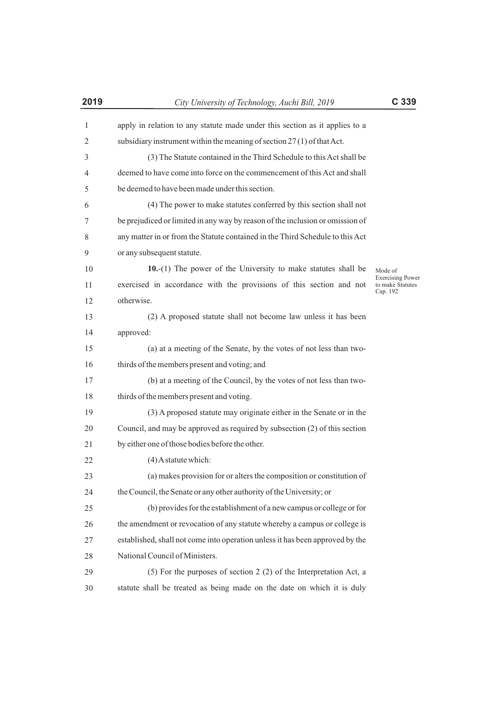| $\mathbf{1}$ | apply in relation to any statute made under this section as it applies to a   |                                                         |
|--------------|-------------------------------------------------------------------------------|---------------------------------------------------------|
| 2            | subsidiary instrument within the meaning of section 27(1) of that Act.        |                                                         |
| 3            | (3) The Statute contained in the Third Schedule to this Act shall be          |                                                         |
| 4            | deemed to have come into force on the commencement of this Act and shall      |                                                         |
| 5            | be deemed to have been made under this section.                               |                                                         |
| 6            | (4) The power to make statutes conferred by this section shall not            |                                                         |
| 7            | be prejudiced or limited in any way by reason of the inclusion or omission of |                                                         |
| 8            | any matter in or from the Statute contained in the Third Schedule to this Act |                                                         |
| 9            | or any subsequent statute.                                                    |                                                         |
| 10           | $10-(1)$ The power of the University to make statutes shall be                | Mode of                                                 |
| 11           | exercised in accordance with the provisions of this section and not           | <b>Exercising Power</b><br>to make Statutes<br>Cap. 192 |
| 12           | otherwise.                                                                    |                                                         |
| 13           | (2) A proposed statute shall not become law unless it has been                |                                                         |
| 14           | approved:                                                                     |                                                         |
| 15           | (a) at a meeting of the Senate, by the votes of not less than two-            |                                                         |
| 16           | thirds of the members present and voting; and                                 |                                                         |
| 17           | (b) at a meeting of the Council, by the votes of not less than two-           |                                                         |
| 18           | thirds of the members present and voting.                                     |                                                         |
| 19           | (3) A proposed statute may originate either in the Senate or in the           |                                                         |
| 20           | Council, and may be approved as required by subsection (2) of this section    |                                                         |
| 21           | by either one of those bodies before the other.                               |                                                         |
| 22           | $(4)$ A statute which:                                                        |                                                         |
| 23           | (a) makes provision for or alters the composition or constitution of          |                                                         |
| 24           | the Council, the Senate or any other authority of the University; or          |                                                         |
| 25           | (b) provides for the establishment of a new campus or college or for          |                                                         |
| 26           | the amendment or revocation of any statute whereby a campus or college is     |                                                         |
| 27           | established, shall not come into operation unless it has been approved by the |                                                         |
| 28           | National Council of Ministers.                                                |                                                         |
| 29           | (5) For the purposes of section $2(2)$ of the Interpretation Act, a           |                                                         |
| 30           | statute shall be treated as being made on the date on which it is duly        |                                                         |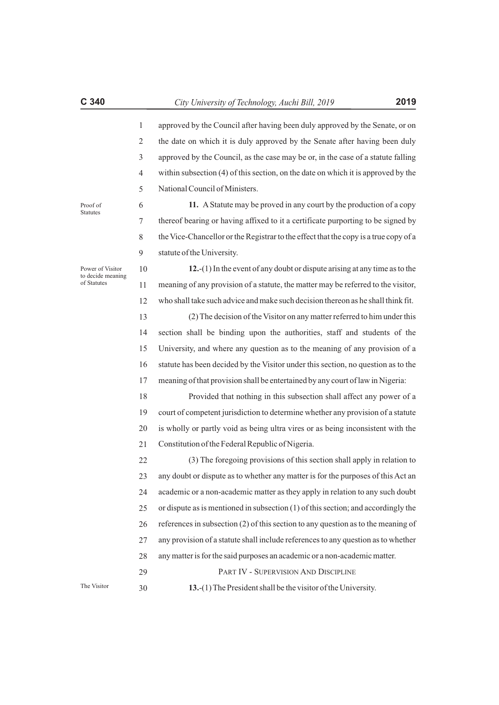Proof of **Statutes** 

Power of Visitor to decide meaning of Statutes

approved by the Council after having been duly approved by the Senate, or on the date on which it is duly approved by the Senate after having been duly approved by the Council, as the case may be or, in the case of a statute falling within subsection (4) of this section, on the date on which it is approved by the National Council of Ministers.

6 7 8 9 **11.** AStatute may be proved in any court by the production of a copy thereof bearing or having affixed to it a certificate purporting to be signed by the Vice-Chancellor or the Registrar to the effect that the copy is a true copy of a statute of the University.

10 11 12 **12.**-(1) In the event of any doubt or dispute arising at any time as to the meaning of any provision of a statute, the matter may be referred to the visitor, who shall take such advice and make such decision thereon as he shall think fit.

13 14 15 16 17 (2) The decision of the Visitor on any matter referred to him under this section shall be binding upon the authorities, staff and students of the University, and where any question as to the meaning of any provision of a statute has been decided by the Visitor under this section, no question as to the meaning of that provision shall be entertained by any court of law in Nigeria:

18 19 20 21 Provided that nothing in this subsection shall affect any power of a court of competent jurisdiction to determine whether any provision of a statute is wholly or partly void as being ultra vires or as being inconsistent with the Constitution of the Federal Republic of Nigeria.

22 23 24 25 26 27 28 29 (3) The foregoing provisions of this section shall apply in relation to any doubt or dispute as to whether any matter is for the purposes of this Act an academic or a non-academic matter as they apply in relation to any such doubt or dispute as is mentioned in subsection (1) of this section; and accordingly the references in subsection (2) of this section to any question as to the meaning of any provision of a statute shall include references to any question as to whether any matter is for the said purposes an academic or a non-academic matter. PART IV - SUPERVISION AND DISCIPLINE **13.**-(1) The President shall be the visitor of the University.

The Visitor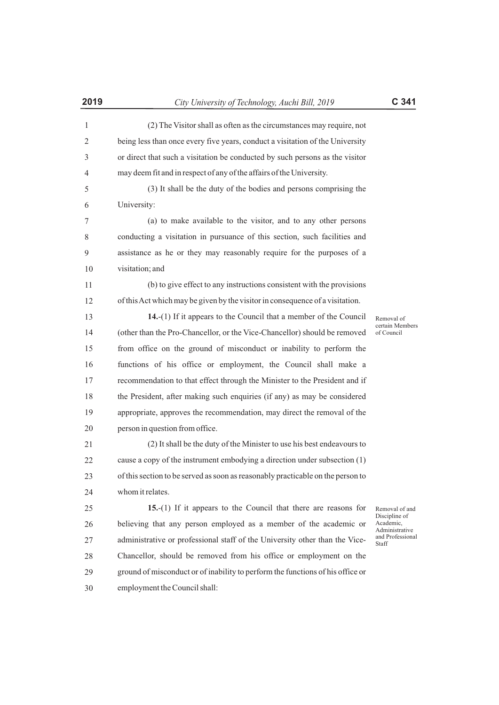| (2) The Visitor shall as often as the circumstances may require, not          |
|-------------------------------------------------------------------------------|
| being less than once every five years, conduct a visitation of the University |
| or direct that such a visitation be conducted by such persons as the visitor  |
|                                                                               |

5 6 may deem fit and in respect of any of the affairs of the University. (3) It shall be the duty of the bodies and persons comprising the University:

7 8 9 10 (a) to make available to the visitor, and to any other persons conducting a visitation in pursuance of this section, such facilities and assistance as he or they may reasonably require for the purposes of a visitation; and

11 12 (b) to give effect to any instructions consistent with the provisions of this Act which may be given by the visitor in consequence of a visitation.

13 14 15 16 17 18 19 20 **14.**-(1) If it appears to the Council that a member of the Council (other than the Pro-Chancellor, or the Vice-Chancellor) should be removed from office on the ground of misconduct or inability to perform the functions of his office or employment, the Council shall make a recommendation to that effect through the Minister to the President and if the President, after making such enquiries (if any) as may be considered appropriate, approves the recommendation, may direct the removal of the person in question from office.

21 22 23 24 (2) It shall be the duty of the Minister to use his best endeavours to cause a copy of the instrument embodying a direction under subsection (1) of this section to be served as soon as reasonably practicable on the person to whom it relates.

25 26 27 28 29 30 **15.**-(1) If it appears to the Council that there are reasons for believing that any person employed as a member of the academic or administrative or professional staff of the University other than the Vice-Chancellor, should be removed from his office or employment on the ground of misconduct or of inability to perform the functions of his office or employment the Council shall:

Removal of certain Members of Council

Removal of and Discipline of Academic, Administrative and Professional Staff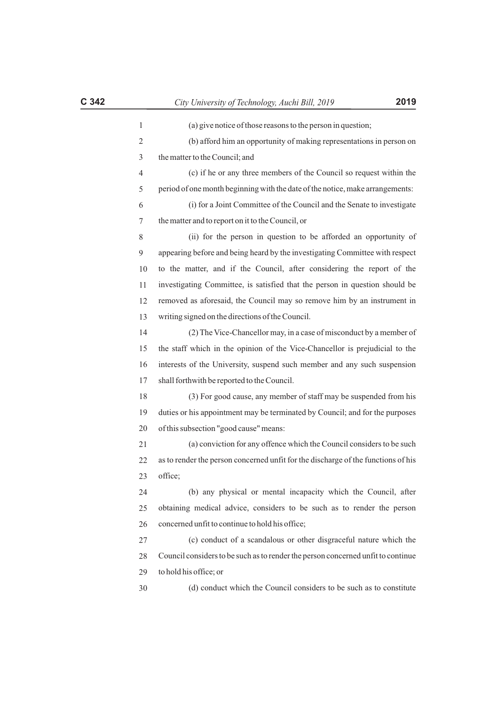| 1                       | (a) give notice of those reasons to the person in question;                       |
|-------------------------|-----------------------------------------------------------------------------------|
| $\overline{\mathbf{c}}$ | (b) afford him an opportunity of making representations in person on              |
| 3                       | the matter to the Council; and                                                    |
| 4                       | (c) if he or any three members of the Council so request within the               |
| 5                       | period of one month beginning with the date of the notice, make arrangements:     |
| 6                       | (i) for a Joint Committee of the Council and the Senate to investigate            |
| 7                       | the matter and to report on it to the Council, or                                 |
| 8                       | (ii) for the person in question to be afforded an opportunity of                  |
| 9                       | appearing before and being heard by the investigating Committee with respect      |
| 10                      | to the matter, and if the Council, after considering the report of the            |
| 11                      | investigating Committee, is satisfied that the person in question should be       |
| 12                      | removed as aforesaid, the Council may so remove him by an instrument in           |
| 13                      | writing signed on the directions of the Council.                                  |
| 14                      | (2) The Vice-Chancellor may, in a case of misconduct by a member of               |
| 15                      | the staff which in the opinion of the Vice-Chancellor is prejudicial to the       |
| 16                      | interests of the University, suspend such member and any such suspension          |
| 17                      | shall forthwith be reported to the Council.                                       |
| 18                      | (3) For good cause, any member of staff may be suspended from his                 |
| 19                      | duties or his appointment may be terminated by Council; and for the purposes      |
| 20                      | of this subsection "good cause" means:                                            |
| 21                      | (a) conviction for any offence which the Council considers to be such             |
| 22                      | as to render the person concerned unfit for the discharge of the functions of his |
| 23                      | office;                                                                           |
| 24                      | (b) any physical or mental incapacity which the Council, after                    |
| 25                      | obtaining medical advice, considers to be such as to render the person            |
| 26                      | concerned unfit to continue to hold his office;                                   |
| 27                      | (c) conduct of a scandalous or other disgraceful nature which the                 |
| 28                      | Council considers to be such as to render the person concerned unfit to continue  |
| 29                      | to hold his office; or                                                            |
| 30                      | (d) conduct which the Council considers to be such as to constitute               |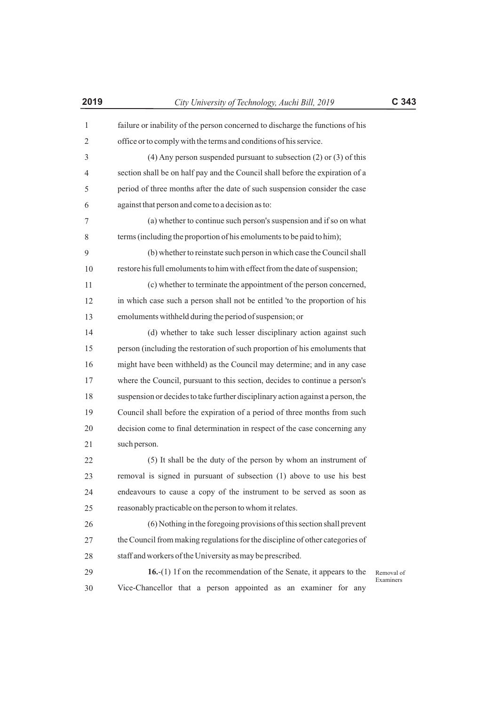| $\mathbf{1}$ | failure or inability of the person concerned to discharge the functions of his  |                         |
|--------------|---------------------------------------------------------------------------------|-------------------------|
| 2            | office or to comply with the terms and conditions of his service.               |                         |
| 3            | $(4)$ Any person suspended pursuant to subsection $(2)$ or $(3)$ of this        |                         |
| 4            | section shall be on half pay and the Council shall before the expiration of a   |                         |
| 5            | period of three months after the date of such suspension consider the case      |                         |
| 6            | against that person and come to a decision as to:                               |                         |
| 7            | (a) whether to continue such person's suspension and if so on what              |                         |
| 8            | terms (including the proportion of his emoluments to be paid to him);           |                         |
| 9            | (b) whether to reinstate such person in which case the Council shall            |                         |
| 10           | restore his full emoluments to him with effect from the date of suspension;     |                         |
| 11           | (c) whether to terminate the appointment of the person concerned,               |                         |
| 12           | in which case such a person shall not be entitled 'to the proportion of his     |                         |
| 13           | emoluments withheld during the period of suspension; or                         |                         |
| 14           | (d) whether to take such lesser disciplinary action against such                |                         |
| 15           | person (including the restoration of such proportion of his emoluments that     |                         |
| 16           | might have been withheld) as the Council may determine; and in any case         |                         |
| 17           | where the Council, pursuant to this section, decides to continue a person's     |                         |
| 18           | suspension or decides to take further disciplinary action against a person, the |                         |
| 19           | Council shall before the expiration of a period of three months from such       |                         |
| 20           | decision come to final determination in respect of the case concerning any      |                         |
| 21           | such person.                                                                    |                         |
| 22           | (5) It shall be the duty of the person by whom an instrument of                 |                         |
| 23           | removal is signed in pursuant of subsection (1) above to use his best           |                         |
| 24           | endeavours to cause a copy of the instrument to be served as soon as            |                         |
| 25           | reasonably practicable on the person to whom it relates.                        |                         |
| 26           | (6) Nothing in the foregoing provisions of this section shall prevent           |                         |
| 27           | the Council from making regulations for the discipline of other categories of   |                         |
| 28           | staff and workers of the University as may be prescribed.                       |                         |
| 29           | 16.-(1) 1f on the recommendation of the Senate, it appears to the               | Removal of<br>Examiners |
| 30           | Vice-Chancellor that a person appointed as an examiner for any                  |                         |
|              |                                                                                 |                         |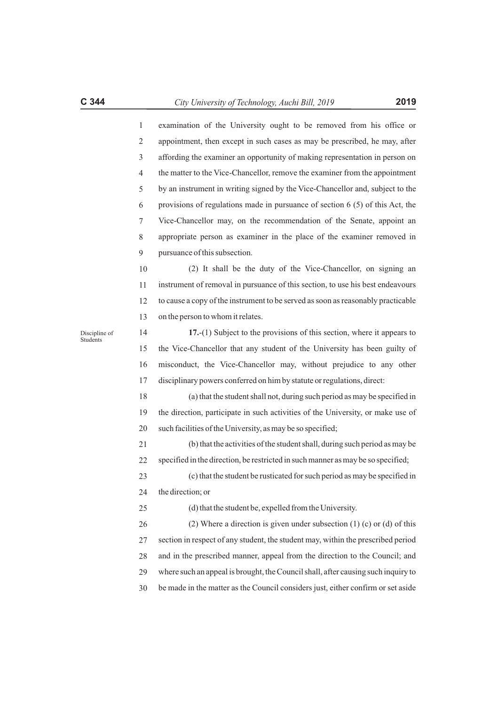| appointment, then except in such cases as may be prescribed, he may, after       |
|----------------------------------------------------------------------------------|
| affording the examiner an opportunity of making representation in person on      |
| the matter to the Vice-Chancellor, remove the examiner from the appointment      |
| by an instrument in writing signed by the Vice-Chancellor and, subject to the    |
| provisions of regulations made in pursuance of section $6(5)$ of this Act, the   |
| Vice-Chancellor may, on the recommendation of the Senate, appoint an             |
| appropriate person as examiner in the place of the examiner removed in           |
| pursuance of this subsection.                                                    |
| (2) It shall be the duty of the Vice-Chancellor, on signing an                   |
| instrument of removal in pursuance of this section, to use his best endeavours   |
| to cause a copy of the instrument to be served as soon as reasonably practicable |
| on the person to whom it relates.                                                |
| $17.-(1)$ Subject to the provisions of this section, where it appears to         |
| the Vice-Chancellor that any student of the University has been guilty of        |
| misconduct, the Vice-Chancellor may, without prejudice to any other              |
|                                                                                  |

12 13 14 15 ppears to guilty of

16 17 ny other disciplinary powers conferred on him by statute or regulations, direct:

18 19 20 (a) that the student shall not, during such period as may be specified in the direction, participate in such activities of the University, or make use of such facilities of the University, as may be so specified;

21 22 (b) that the activities of the student shall, during such period as may be specified in the direction, be restricted in such manner as may be so specified;

23 24 (c) that the student be rusticated for such period as may be specified in the direction; or

(d) that the student be, expelled from the University.

26 27 28 29 (2) Where a direction is given under subsection (1) (c) or (d) of this section in respect of any student, the student may, within the prescribed period and in the prescribed manner, appeal from the direction to the Council; and where such an appeal is brought, the Council shall, after causing such inquiry to

Discipline of Students

10 11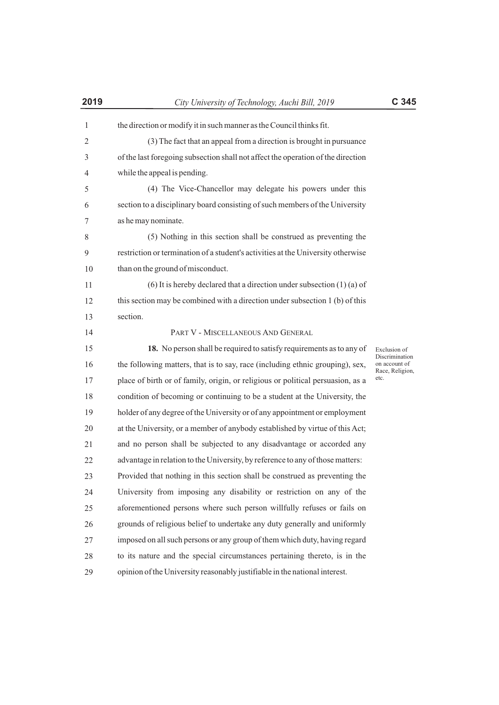| the direction or modify it in such manner as the Council thinks fit. |  |
|----------------------------------------------------------------------|--|
| (3) The fact that an appeal from a direction is brought in pursuance |  |

3 4 of the last foregoing subsection shall not affect the operation of the direction while the appeal is pending.

5 6 7 (4) The Vice-Chancellor may delegate his powers under this section to a disciplinary board consisting of such members of the University as he may nominate.

8 9 10 (5) Nothing in this section shall be construed as preventing the restriction or termination of a student's activities at the University otherwise than on the ground of misconduct.

11 12 13 (6) It is hereby declared that a direction under subsection (1) (a) of this section may be combined with a direction under subsection 1 (b) of this section.

14 15 16 17 18 19 20 21 22 23 24 25 26 27 28 29 PART V - MISCELLANEOUS AND GENERAL **18.** No person shall be required to satisfy requirements as to any of the following matters, that is to say, race (including ethnic grouping), sex, place of birth or of family, origin, or religious or political persuasion, as a condition of becoming or continuing to be a student at the University, the holder of any degree of the University or of any appointment or employment at the University, or a member of anybody established by virtue of this Act; and no person shall be subjected to any disadvantage or accorded any advantage in relation to the University, by reference to any of those matters: Provided that nothing in this section shall be construed as preventing the University from imposing any disability or restriction on any of the aforementioned persons where such person willfully refuses or fails on grounds of religious belief to undertake any duty generally and uniformly imposed on all such persons or any group of them which duty, having regard to its nature and the special circumstances pertaining thereto, is in the opinion of the University reasonably justifiable in the national interest.

Exclusion of Discrimination on account of Race, Religion, etc.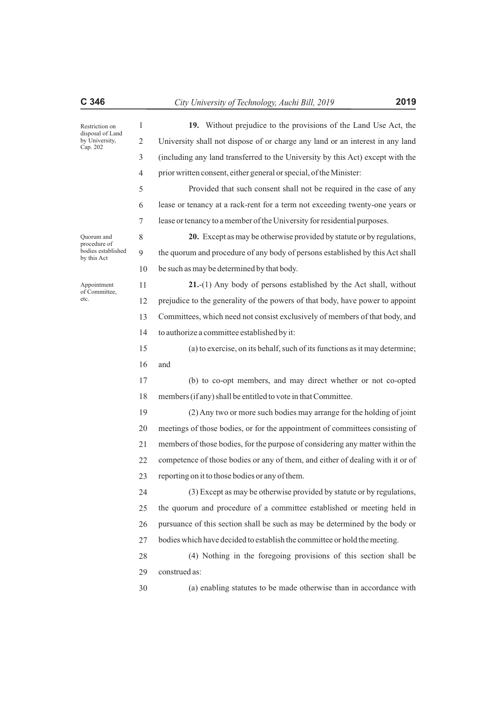Restriction on disposal of Land by University, Cap. 202

Quorum and procedure of bodies established by this Act

Appointment of Committee, etc.

8 9

**19.** Without prejudice to the provisions of the Land Use Act, the University shall not dispose of or charge any land or an interest in any land (including any land transferred to the University by this Act) except with the prior written consent, either general or special, of the Minister:

5 6 7 Provided that such consent shall not be required in the case of any lease or tenancy at a rack-rent for a term not exceeding twenty-one years or lease or tenancy to a member of the University for residential purposes.

10 **20.** Except as may be otherwise provided by statute or by regulations, the quorum and procedure of any body of persons established by this Act shall be such as may be determined by that body.

11 12 13 14 **21.**-(1) Any body of persons established by the Act shall, without prejudice to the generality of the powers of that body, have power to appoint Committees, which need not consist exclusively of members of that body, and to authorize a committee established by it:

15 16 (a) to exercise, on its behalf, such of its functions as it may determine; and

17 18 (b) to co-opt members, and may direct whether or not co-opted members (if any) shall be entitled to vote in that Committee.

19 20 21 22 23 (2) Any two or more such bodies may arrange for the holding of joint meetings of those bodies, or for the appointment of committees consisting of members of those bodies, for the purpose of considering any matter within the competence of those bodies or any of them, and either of dealing with it or of reporting on it to those bodies or any of them.

24 25 26 27 (3) Except as may be otherwise provided by statute or by regulations, the quorum and procedure of a committee established or meeting held in pursuance of this section shall be such as may be determined by the body or bodies which have decided to establish the committee or hold the meeting.

28 29 (4) Nothing in the foregoing provisions of this section shall be construed as:

30 (a) enabling statutes to be made otherwise than in accordance with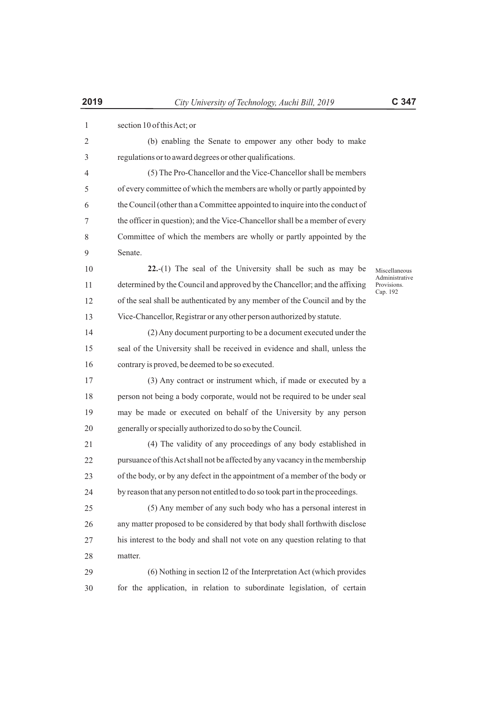| 1            | section 10 of this Act; or                                                    |                                           |
|--------------|-------------------------------------------------------------------------------|-------------------------------------------|
| $\mathbf{2}$ | (b) enabling the Senate to empower any other body to make                     |                                           |
| 3            | regulations or to award degrees or other qualifications.                      |                                           |
| 4            | (5) The Pro-Chancellor and the Vice-Chancellor shall be members               |                                           |
| 5            | of every committee of which the members are wholly or partly appointed by     |                                           |
| 6            | the Council (other than a Committee appointed to inquire into the conduct of  |                                           |
| 7            | the officer in question); and the Vice-Chancellor shall be a member of every  |                                           |
| 8            | Committee of which the members are wholly or partly appointed by the          |                                           |
| 9            | Senate.                                                                       |                                           |
| 10           | $22-(1)$ The seal of the University shall be such as may be                   | Miscellaneous                             |
| 11           | determined by the Council and approved by the Chancellor; and the affixing    | Administrative<br>Provisions.<br>Cap. 192 |
| 12           | of the seal shall be authenticated by any member of the Council and by the    |                                           |
| 13           | Vice-Chancellor, Registrar or any other person authorized by statute.         |                                           |
| 14           | (2) Any document purporting to be a document executed under the               |                                           |
| 15           | seal of the University shall be received in evidence and shall, unless the    |                                           |
| 16           | contrary is proved, be deemed to be so executed.                              |                                           |
| 17           | (3) Any contract or instrument which, if made or executed by a                |                                           |
| 18           | person not being a body corporate, would not be required to be under seal     |                                           |
| 19           | may be made or executed on behalf of the University by any person             |                                           |
| 20           | generally or specially authorized to do so by the Council.                    |                                           |
| 21           | (4) The validity of any proceedings of any body established in                |                                           |
| 22           | pursuance of this Act shall not be affected by any vacancy in the membership  |                                           |
| 23           | of the body, or by any defect in the appointment of a member of the body or   |                                           |
| 24           | by reason that any person not entitled to do so took part in the proceedings. |                                           |
| 25           | (5) Any member of any such body who has a personal interest in                |                                           |
| 26           | any matter proposed to be considered by that body shall forthwith disclose    |                                           |
| 27           | his interest to the body and shall not vote on any question relating to that  |                                           |
| 28           | matter.                                                                       |                                           |
| 29           | (6) Nothing in section 12 of the Interpretation Act (which provides           |                                           |
| 30           | for the application, in relation to subordinate legislation, of certain       |                                           |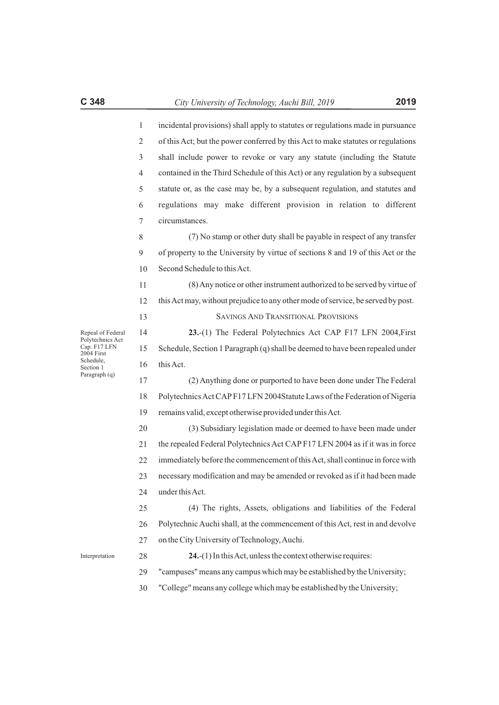| incidental provisions) shall apply to statutes or regulations made in pursuance  |
|----------------------------------------------------------------------------------|
| of this Act; but the power conferred by this Act to make statutes or regulations |
| shall include power to revoke or vary any statute (including the Statute         |
| contained in the Third Schedule of this Act) or any regulation by a subsequent   |
| statute or, as the case may be, by a subsequent regulation, and statutes and     |
| regulations may make different provision in relation to different                |
| circumstances.                                                                   |

8 9 10 (7) No stamp or other duty shall be payable in respect of any transfer of property to the University by virtue of sections 8 and 19 of this Act or the Second Schedule to this Act.

11 12 (8) Any notice or other instrument authorized to be served by virtue of this Act may, without prejudice to any other mode of service, be served by post.

SAVINGS AND TRANSITIONAL PROVISIONS

14 15 16 **23.**-(1) The Federal Polytechnics Act CAP F17 LFN 2004,First Schedule, Section 1 Paragraph (q) shall be deemed to have been repealed under this Act.

17 18 19 (2) Anything done or purported to have been done under The Federal Polytechnics Act CAPF17 LFN 2004Statute Laws of the Federation of Nigeria remains valid, except otherwise provided under this Act.

20 21 22 23 24 (3) Subsidiary legislation made or deemed to have been made under the repealed Federal Polytechnics Act CAPF17 LFN 2004 as if it was in force immediately before the commencement of this Act, shall continue in force with necessary modification and may be amended or revoked as if it had been made under this Act.

25 26 27 (4) The rights, Assets, obligations and liabilities of the Federal Polytechnic Auchi shall, at the commencement of this Act, rest in and devolve on the City University of Technology, Auchi.

Interpretation

28

**24.**-(1) In this Act, unless the context otherwise requires:

29 "campuses" means any campus which may be established by the University;

30 "College" means any college which may be established by the University;

13

Repeal of Federal Polytechnics Act Cap. F17 LFN 2004 First Schedule, Section 1 Paragraph (q)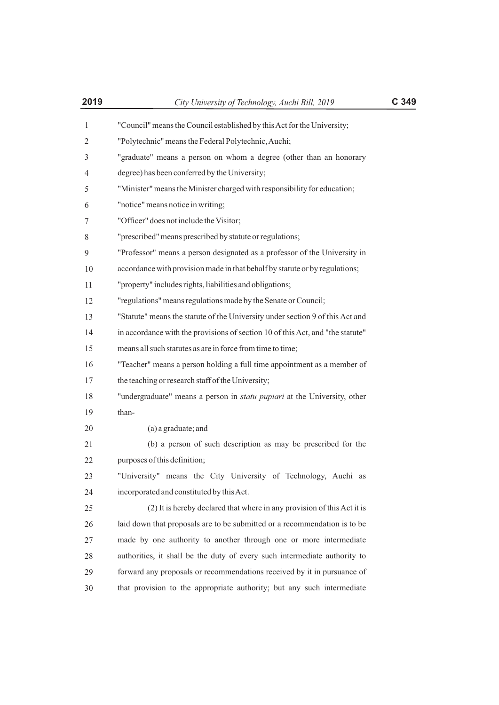| 2019         | City University of Technology, Auchi Bill, 2019                                 | C 349 |
|--------------|---------------------------------------------------------------------------------|-------|
| 1            | "Council" means the Council established by this Act for the University;         |       |
| $\mathbf{2}$ | "Polytechnic" means the Federal Polytechnic, Auchi;                             |       |
| 3            | "graduate" means a person on whom a degree (other than an honorary              |       |
| 4            | degree) has been conferred by the University;                                   |       |
| 5            | "Minister" means the Minister charged with responsibility for education;        |       |
| 6            | "notice" means notice in writing;                                               |       |
| 7            | "Officer" does not include the Visitor;                                         |       |
| 8            | "prescribed" means prescribed by statute or regulations;                        |       |
| 9            | "Professor" means a person designated as a professor of the University in       |       |
| 10           | accordance with provision made in that behalf by statute or by regulations;     |       |
| 11           | "property" includes rights, liabilities and obligations;                        |       |
| 12           | "regulations" means regulations made by the Senate or Council;                  |       |
| 13           | "Statute" means the statute of the University under section 9 of this Act and   |       |
| 14           | in accordance with the provisions of section 10 of this Act, and "the statute"  |       |
| 15           | means all such statutes as are in force from time to time;                      |       |
| 16           | "Teacher" means a person holding a full time appointment as a member of         |       |
| 17           | the teaching or research staff of the University;                               |       |
| 18           | "undergraduate" means a person in <i>statu pupiari</i> at the University, other |       |
| 19           | than-                                                                           |       |
| 20           | (a) a graduate; and                                                             |       |
| 21           | (b) a person of such description as may be prescribed for the                   |       |
| 22           | purposes of this definition;                                                    |       |
| 23           | "University" means the City University of Technology, Auchi as                  |       |
| 24           | incorporated and constituted by this Act.                                       |       |
| 25           | (2) It is hereby declared that where in any provision of this Act it is         |       |
| 26           | laid down that proposals are to be submitted or a recommendation is to be       |       |
| 27           | made by one authority to another through one or more intermediate               |       |
| 28           | authorities, it shall be the duty of every such intermediate authority to       |       |
| 29           | forward any proposals or recommendations received by it in pursuance of         |       |
| 30           | that provision to the appropriate authority; but any such intermediate          |       |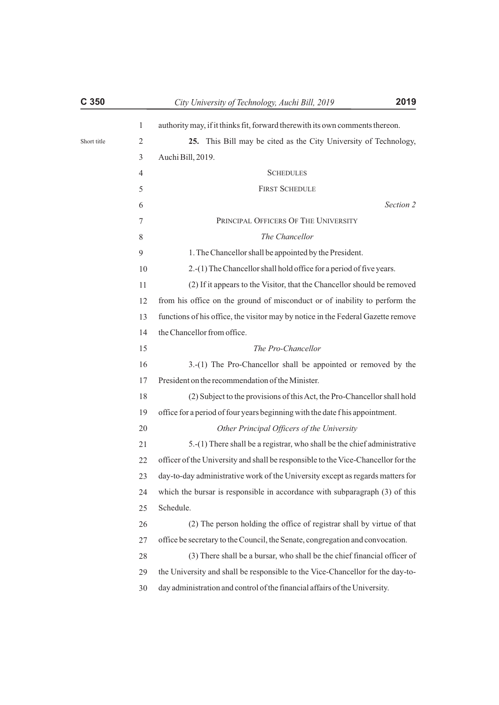| C <sub>350</sub> |                | 2019<br>City University of Technology, Auchi Bill, 2019                           |
|------------------|----------------|-----------------------------------------------------------------------------------|
|                  | $\mathbf{1}$   | authority may, if it thinks fit, forward therewith its own comments thereon.      |
| Short title      | $\overline{2}$ | 25. This Bill may be cited as the City University of Technology,                  |
|                  | 3              | Auchi Bill, 2019.                                                                 |
|                  | 4              | <b>SCHEDULES</b>                                                                  |
|                  | 5              | <b>FIRST SCHEDULE</b>                                                             |
|                  | 6              | Section 2                                                                         |
|                  | 7              | PRINCIPAL OFFICERS OF THE UNIVERSITY                                              |
|                  | 8              | The Chancellor                                                                    |
|                  | 9              | 1. The Chancellor shall be appointed by the President.                            |
|                  | 10             | 2.-(1) The Chancellor shall hold office for a period of five years.               |
|                  | 11             | (2) If it appears to the Visitor, that the Chancellor should be removed           |
|                  | 12             | from his office on the ground of misconduct or of inability to perform the        |
|                  | 13             | functions of his office, the visitor may by notice in the Federal Gazette remove  |
|                  | 14             | the Chancellor from office.                                                       |
|                  | 15             | The Pro-Chancellor                                                                |
|                  | 16             | 3.-(1) The Pro-Chancellor shall be appointed or removed by the                    |
|                  | 17             | President on the recommendation of the Minister.                                  |
|                  | 18             | (2) Subject to the provisions of this Act, the Pro-Chancellor shall hold          |
|                  | 19             | office for a period of four years beginning with the date f his appointment.      |
|                  | 20             | Other Principal Officers of the University                                        |
|                  | 21             | 5.-(1) There shall be a registrar, who shall be the chief administrative          |
|                  | 22             | officer of the University and shall be responsible to the Vice-Chancellor for the |
|                  | 23             | day-to-day administrative work of the University except as regards matters for    |
|                  | 24             | which the bursar is responsible in accordance with subparagraph (3) of this       |
|                  | 25             | Schedule.                                                                         |
|                  | 26             | (2) The person holding the office of registrar shall by virtue of that            |
|                  | 27             | office be secretary to the Council, the Senate, congregation and convocation.     |
|                  | 28             | (3) There shall be a bursar, who shall be the chief financial officer of          |
|                  | 29             | the University and shall be responsible to the Vice-Chancellor for the day-to-    |
|                  | 30             | day administration and control of the financial affairs of the University.        |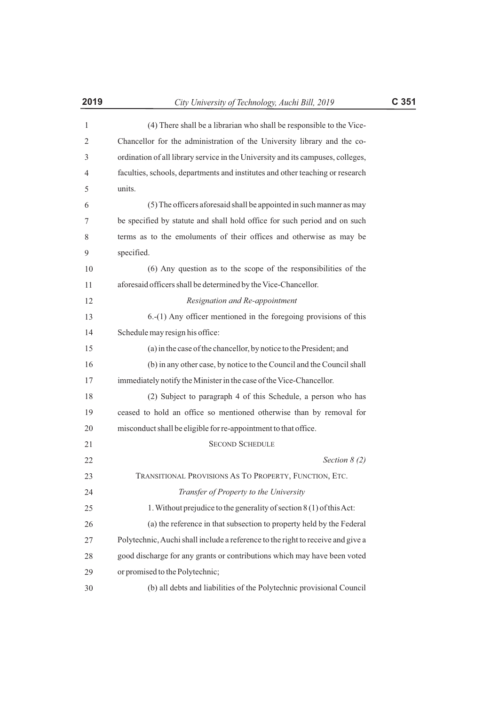| 2019 | City University of Technology, Auchi Bill, 2019                                 | C <sub>351</sub> |
|------|---------------------------------------------------------------------------------|------------------|
| 1    | (4) There shall be a librarian who shall be responsible to the Vice-            |                  |
| 2    | Chancellor for the administration of the University library and the co-         |                  |
| 3    | ordination of all library service in the University and its campuses, colleges, |                  |
| 4    | faculties, schools, departments and institutes and other teaching or research   |                  |
| 5    | units.                                                                          |                  |
| 6    | (5) The officers aforesaid shall be appointed in such manner as may             |                  |
| 7    | be specified by statute and shall hold office for such period and on such       |                  |
| 8    | terms as to the emoluments of their offices and otherwise as may be             |                  |
| 9    | specified.                                                                      |                  |
| 10   | (6) Any question as to the scope of the responsibilities of the                 |                  |
| 11   | aforesaid officers shall be determined by the Vice-Chancellor.                  |                  |
| 12   | Resignation and Re-appointment                                                  |                  |
| 13   | $6-(1)$ Any officer mentioned in the foregoing provisions of this               |                  |
| 14   | Schedule may resign his office:                                                 |                  |
| 15   | (a) in the case of the chancellor, by notice to the President; and              |                  |
| 16   | (b) in any other case, by notice to the Council and the Council shall           |                  |
| 17   | immediately notify the Minister in the case of the Vice-Chancellor.             |                  |
| 18   | (2) Subject to paragraph 4 of this Schedule, a person who has                   |                  |
| 19   | ceased to hold an office so mentioned otherwise than by removal for             |                  |
| 20   | misconduct shall be eligible for re-appointment to that office.                 |                  |
| 21   | <b>SECOND SCHEDULE</b>                                                          |                  |
| 22   | Section $8(2)$                                                                  |                  |
| 23   | TRANSITIONAL PROVISIONS AS TO PROPERTY, FUNCTION, ETC.                          |                  |
| 24   | Transfer of Property to the University                                          |                  |
| 25   | 1. Without prejudice to the generality of section 8 (1) of this Act:            |                  |
| 26   | (a) the reference in that subsection to property held by the Federal            |                  |
| 27   | Polytechnic, Auchi shall include a reference to the right to receive and give a |                  |
| 28   | good discharge for any grants or contributions which may have been voted        |                  |
| 29   | or promised to the Polytechnic;                                                 |                  |
| 30   | (b) all debts and liabilities of the Polytechnic provisional Council            |                  |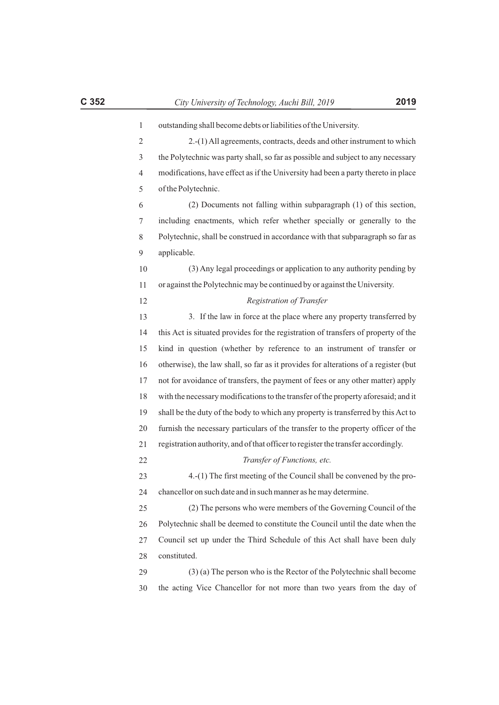| 1              | outstanding shall become debts or liabilities of the University.                    |
|----------------|-------------------------------------------------------------------------------------|
| $\overline{c}$ | 2.-(1) All agreements, contracts, deeds and other instrument to which               |
| 3              | the Polytechnic was party shall, so far as possible and subject to any necessary    |
| 4              | modifications, have effect as if the University had been a party thereto in place   |
| 5              | of the Polytechnic.                                                                 |
| 6              | (2) Documents not falling within subparagraph (1) of this section,                  |
| 7              | including enactments, which refer whether specially or generally to the             |
| 8              | Polytechnic, shall be construed in accordance with that subparagraph so far as      |
| 9              | applicable.                                                                         |
| 10             | (3) Any legal proceedings or application to any authority pending by                |
| 11             | or against the Polytechnic may be continued by or against the University.           |
| 12             | Registration of Transfer                                                            |
| 13             | 3. If the law in force at the place where any property transferred by               |
| 14             | this Act is situated provides for the registration of transfers of property of the  |
| 15             | kind in question (whether by reference to an instrument of transfer or              |
| 16             | otherwise), the law shall, so far as it provides for alterations of a register (but |
| 17             | not for avoidance of transfers, the payment of fees or any other matter) apply      |
| 18             | with the necessary modifications to the transfer of the property aforesaid; and it  |
| 19             | shall be the duty of the body to which any property is transferred by this Act to   |
| 20             | furnish the necessary particulars of the transfer to the property officer of the    |
| 21             | registration authority, and of that officer to register the transfer accordingly.   |
| 22             | Transfer of Functions, etc.                                                         |
| 23             | 4.-(1) The first meeting of the Council shall be convened by the pro-               |
| 24             | chancellor on such date and in such manner as he may determine.                     |
| 25             | (2) The persons who were members of the Governing Council of the                    |
| 26             | Polytechnic shall be deemed to constitute the Council until the date when the       |
| 27             | Council set up under the Third Schedule of this Act shall have been duly            |
| 28             | constituted.                                                                        |
| 29             | $(3)$ (a) The person who is the Rector of the Polytechnic shall become              |
| 30             | the acting Vice Chancellor for not more than two years from the day of              |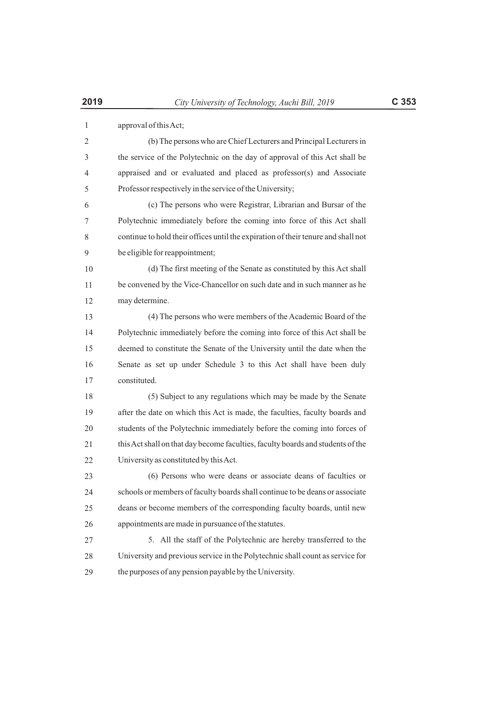| 1              | approval of this Act;                                                             |
|----------------|-----------------------------------------------------------------------------------|
| $\overline{2}$ | (b) The persons who are Chief Lecturers and Principal Lecturers in                |
| 3              | the service of the Polytechnic on the day of approval of this Act shall be        |
| 4              | appraised and or evaluated and placed as professor(s) and Associate               |
| 5              | Professor respectively in the service of the University;                          |
| 6              | (c) The persons who were Registrar, Librarian and Bursar of the                   |
| 7              | Polytechnic immediately before the coming into force of this Act shall            |
| 8              | continue to hold their offices until the expiration of their tenure and shall not |
| 9              | be eligible for reappointment;                                                    |
| 10             | (d) The first meeting of the Senate as constituted by this Act shall              |
| 11             | be convened by the Vice-Chancellor on such date and in such manner as he          |
| 12             | may determine.                                                                    |
| 13             | (4) The persons who were members of the Academic Board of the                     |
| 14             | Polytechnic immediately before the coming into force of this Act shall be         |
| 15             | deemed to constitute the Senate of the University until the date when the         |
| 16             | Senate as set up under Schedule 3 to this Act shall have been duly                |
| 17             | constituted.                                                                      |
| 18             | (5) Subject to any regulations which may be made by the Senate                    |
| 19             | after the date on which this Act is made, the faculties, faculty boards and       |
| 20             | students of the Polytechnic immediately before the coming into forces of          |
| 21             | this Act shall on that day become faculties, faculty boards and students of the   |
| 22             | University as constituted by this Act.                                            |
| 23             | (6) Persons who were deans or associate deans of faculties or                     |
| 24             | schools or members of faculty boards shall continue to be deans or associate      |
| 25             | deans or become members of the corresponding faculty boards, until new            |
| 26             | appointments are made in pursuance of the statutes.                               |
| 27             | 5. All the staff of the Polytechnic are hereby transferred to the                 |
| 28             | University and previous service in the Polytechnic shall count as service for     |
| 29             | the purposes of any pension payable by the University.                            |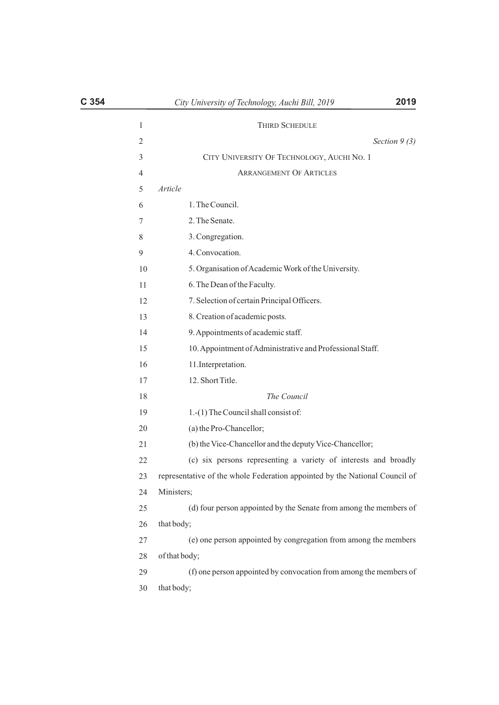|               | <b>THIRD SCHEDULE</b>                                                       |
|---------------|-----------------------------------------------------------------------------|
|               | Section $9(3)$                                                              |
|               | CITY UNIVERSITY OF TECHNOLOGY, AUCHI NO. 1                                  |
|               | <b>ARRANGEMENT OF ARTICLES</b>                                              |
| Article       |                                                                             |
|               | 1. The Council.                                                             |
|               | 2. The Senate.                                                              |
|               | 3. Congregation.                                                            |
|               | 4. Convocation.                                                             |
|               | 5. Organisation of Academic Work of the University.                         |
|               | 6. The Dean of the Faculty.                                                 |
|               | 7. Selection of certain Principal Officers.                                 |
|               | 8. Creation of academic posts.                                              |
|               | 9. Appointments of academic staff.                                          |
|               | 10. Appointment of Administrative and Professional Staff.                   |
|               | 11. Interpretation.                                                         |
|               | 12. Short Title.                                                            |
|               | The Council                                                                 |
|               | 1.-(1) The Council shall consist of:                                        |
|               | (a) the Pro-Chancellor;                                                     |
|               | (b) the Vice-Chancellor and the deputy Vice-Chancellor;                     |
|               | (c) six persons representing a variety of interests and broadly             |
|               | representative of the whole Federation appointed by the National Council of |
| Ministers;    |                                                                             |
|               | (d) four person appointed by the Senate from among the members of           |
| that body;    |                                                                             |
|               | (e) one person appointed by congregation from among the members             |
| of that body; |                                                                             |
|               | (f) one person appointed by convocation from among the members of           |
| that body;    |                                                                             |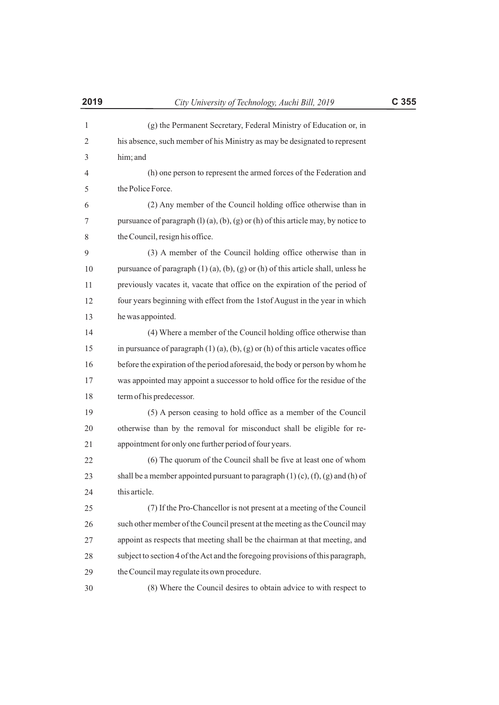| $\mathbf{1}$ | (g) the Permanent Secretary, Federal Ministry of Education or, in                            |
|--------------|----------------------------------------------------------------------------------------------|
| 2            | his absence, such member of his Ministry as may be designated to represent                   |
| 3            | him; and                                                                                     |
| 4            | (h) one person to represent the armed forces of the Federation and                           |
| 5            | the Police Force.                                                                            |
| 6            | (2) Any member of the Council holding office otherwise than in                               |
| 7            | pursuance of paragraph $(l)$ (a), (b), (g) or (h) of this article may, by notice to          |
| 8            | the Council, resign his office.                                                              |
| 9            | (3) A member of the Council holding office otherwise than in                                 |
| 10           | pursuance of paragraph $(1)$ $(a)$ , $(b)$ , $(g)$ or $(h)$ of this article shall, unless he |
| 11           | previously vacates it, vacate that office on the expiration of the period of                 |
| 12           | four years beginning with effect from the 1stof August in the year in which                  |
| 13           | he was appointed.                                                                            |
| 14           | (4) Where a member of the Council holding office otherwise than                              |
| 15           | in pursuance of paragraph $(1)$ (a), (b), (g) or (h) of this article vacates office          |
| 16           | before the expiration of the period aforesaid, the body or person by whom he                 |
| 17           | was appointed may appoint a successor to hold office for the residue of the                  |
| 18           | term of his predecessor.                                                                     |
| 19           | (5) A person ceasing to hold office as a member of the Council                               |
| 20           | otherwise than by the removal for misconduct shall be eligible for re-                       |
| 21           | appointment for only one further period of four years.                                       |
| 22           | (6) The quorum of the Council shall be five at least one of whom                             |
| 23           | shall be a member appointed pursuant to paragraph $(1)$ $(c)$ , $(f)$ , $(g)$ and $(h)$ of   |
| 24           | this article.                                                                                |
| 25           | (7) If the Pro-Chancellor is not present at a meeting of the Council                         |
| 26           | such other member of the Council present at the meeting as the Council may                   |
| 27           | appoint as respects that meeting shall be the chairman at that meeting, and                  |
| 28           | subject to section 4 of the Act and the foregoing provisions of this paragraph,              |
| 29           | the Council may regulate its own procedure.                                                  |
| 30           | (8) Where the Council desires to obtain advice to with respect to                            |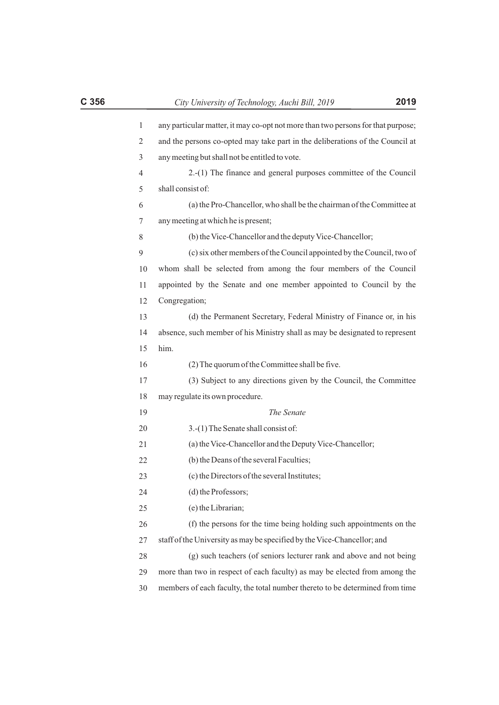| $\mathbf{1}$ | any particular matter, it may co-opt not more than two persons for that purpose; |
|--------------|----------------------------------------------------------------------------------|
| 2            | and the persons co-opted may take part in the deliberations of the Council at    |
| 3            | any meeting but shall not be entitled to vote.                                   |
| 4            | 2.-(1) The finance and general purposes committee of the Council                 |
| 5            | shall consist of:                                                                |
| 6            | (a) the Pro-Chancellor, who shall be the chairman of the Committee at            |
| 7            | any meeting at which he is present;                                              |
| 8            | (b) the Vice-Chancellor and the deputy Vice-Chancellor;                          |
| 9            | (c) six other members of the Council appointed by the Council, two of            |
| 10           | whom shall be selected from among the four members of the Council                |
| 11           | appointed by the Senate and one member appointed to Council by the               |
| 12           | Congregation;                                                                    |
| 13           | (d) the Permanent Secretary, Federal Ministry of Finance or, in his              |
| 14           | absence, such member of his Ministry shall as may be designated to represent     |
| 15           | him.                                                                             |
| 16           | (2) The quorum of the Committee shall be five.                                   |
| 17           | (3) Subject to any directions given by the Council, the Committee                |
| 18           | may regulate its own procedure.                                                  |
| 19           | The Senate                                                                       |
| 20           | 3.-(1) The Senate shall consist of:                                              |
| 21           | (a) the Vice-Chancellor and the Deputy Vice-Chancellor;                          |
| 22           | (b) the Deans of the several Faculties;                                          |
| 23           | (c) the Directors of the several Institutes;                                     |
| 24           | (d) the Professors;                                                              |
| 25           | (e) the Librarian;                                                               |
| 26           | (f) the persons for the time being holding such appointments on the              |
| 27           | staff of the University as may be specified by the Vice-Chancellor; and          |
| 28           | (g) such teachers (of seniors lecturer rank and above and not being              |

more than two in respect of each faculty) as may be elected from among the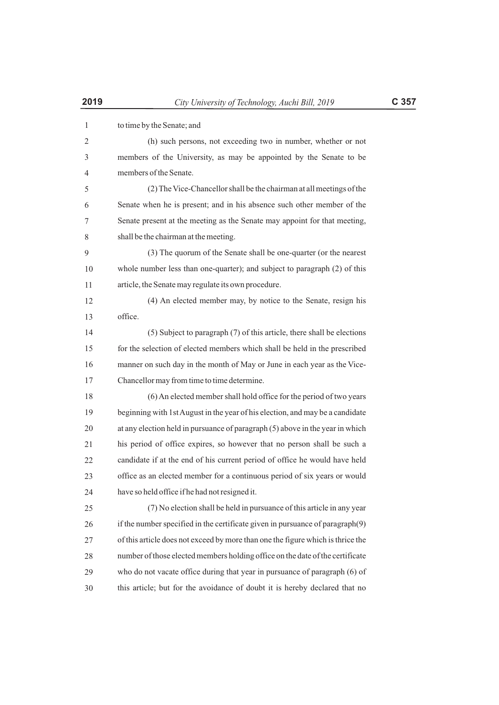| 1  | to time by the Senate; and                                                      |
|----|---------------------------------------------------------------------------------|
| 2  | (h) such persons, not exceeding two in number, whether or not                   |
| 3  | members of the University, as may be appointed by the Senate to be              |
| 4  | members of the Senate.                                                          |
| 5  | (2) The Vice-Chancellor shall be the chairman at all meetings of the            |
| 6  | Senate when he is present; and in his absence such other member of the          |
| 7  | Senate present at the meeting as the Senate may appoint for that meeting,       |
| 8  | shall be the chairman at the meeting.                                           |
| 9  | (3) The quorum of the Senate shall be one-quarter (or the nearest               |
| 10 | whole number less than one-quarter); and subject to paragraph (2) of this       |
| 11 | article, the Senate may regulate its own procedure.                             |
| 12 | (4) An elected member may, by notice to the Senate, resign his                  |
| 13 | office.                                                                         |
| 14 | (5) Subject to paragraph (7) of this article, there shall be elections          |
| 15 | for the selection of elected members which shall be held in the prescribed      |
| 16 | manner on such day in the month of May or June in each year as the Vice-        |
| 17 | Chancellor may from time to time determine.                                     |
| 18 | (6) An elected member shall hold office for the period of two years             |
| 19 | beginning with 1st August in the year of his election, and may be a candidate   |
| 20 | at any election held in pursuance of paragraph (5) above in the year in which   |
| 21 | his period of office expires, so however that no person shall be such a         |
| 22 | candidate if at the end of his current period of office he would have held      |
| 23 | office as an elected member for a continuous period of six years or would       |
| 24 | have so held office if he had not resigned it.                                  |
| 25 | (7) No election shall be held in pursuance of this article in any year          |
| 26 | if the number specified in the certificate given in pursuance of paragraph(9)   |
| 27 | of this article does not exceed by more than one the figure which is thrice the |
| 28 | number of those elected members holding office on the date of the certificate   |
| 29 | who do not vacate office during that year in pursuance of paragraph (6) of      |
| 30 | this article; but for the avoidance of doubt it is hereby declared that no      |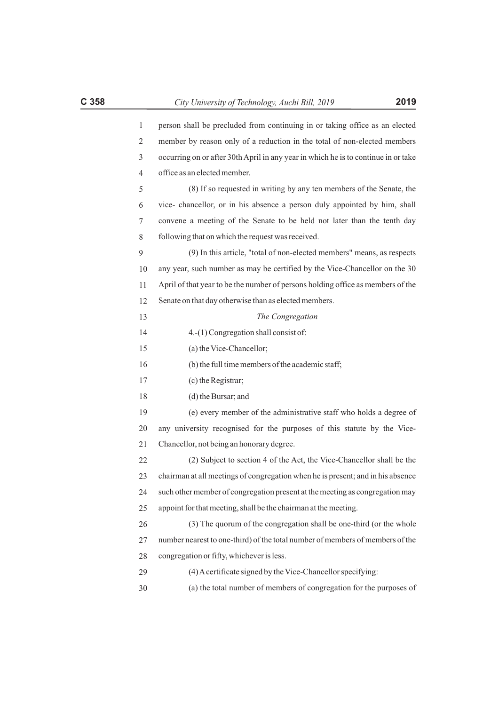| $\mathbf{1}$ | person shall be precluded from continuing in or taking office as an elected        |
|--------------|------------------------------------------------------------------------------------|
| 2            | member by reason only of a reduction in the total of non-elected members           |
| 3            | occurring on or after 30th April in any year in which he is to continue in or take |
| 4            | office as an elected member.                                                       |
| 5            | (8) If so requested in writing by any ten members of the Senate, the               |
| 6            | vice- chancellor, or in his absence a person duly appointed by him, shall          |
| 7            | convene a meeting of the Senate to be held not later than the tenth day            |
| 8            | following that on which the request was received.                                  |
| 9            | (9) In this article, "total of non-elected members" means, as respects             |
| 10           | any year, such number as may be certified by the Vice-Chancellor on the 30         |
| 11           | April of that year to be the number of persons holding office as members of the    |
| 12           | Senate on that day otherwise than as elected members.                              |
| 13           | The Congregation                                                                   |
| 14           | 4.-(1) Congregation shall consist of:                                              |
| 15           | (a) the Vice-Chancellor;                                                           |
| 16           | (b) the full time members of the academic staff;                                   |
| 17           | (c) the Registrar;                                                                 |
| 18           | (d) the Bursar; and                                                                |
| 19           | (e) every member of the administrative staff who holds a degree of                 |
| 20           | any university recognised for the purposes of this statute by the Vice-            |
| 21           | Chancellor, not being an honorary degree.                                          |
| 22           | (2) Subject to section 4 of the Act, the Vice-Chancellor shall be the              |
| 23           | chairman at all meetings of congregation when he is present; and in his absence    |
| 24           | such other member of congregation present at the meeting as congregation may       |
| 25           | appoint for that meeting, shall be the chairman at the meeting.                    |
| 26           | (3) The quorum of the congregation shall be one-third (or the whole                |
| 27           | number nearest to one-third) of the total number of members of members of the      |
| 28           | congregation or fifty, whichever is less.                                          |
| 29           | (4) A certificate signed by the Vice-Chancellor specifying:                        |
| 30           | (a) the total number of members of congregation for the purposes of                |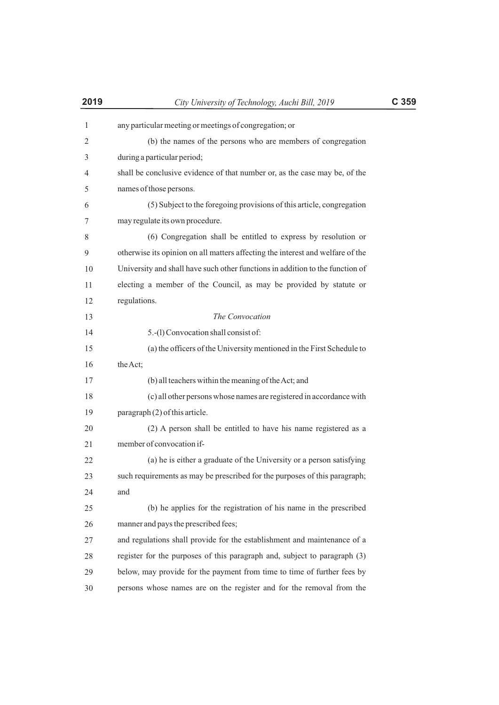| $\mathbf{1}$ | any particular meeting or meetings of congregation; or                         |
|--------------|--------------------------------------------------------------------------------|
| 2            | (b) the names of the persons who are members of congregation                   |
| 3            | during a particular period;                                                    |
| 4            | shall be conclusive evidence of that number or, as the case may be, of the     |
| 5            | names of those persons.                                                        |
| 6            | (5) Subject to the foregoing provisions of this article, congregation          |
| 7            | may regulate its own procedure.                                                |
| 8            | (6) Congregation shall be entitled to express by resolution or                 |
| 9            | otherwise its opinion on all matters affecting the interest and welfare of the |
| 10           | University and shall have such other functions in addition to the function of  |
| 11           | electing a member of the Council, as may be provided by statute or             |
| 12           | regulations.                                                                   |
| 13           | The Convocation                                                                |
| 14           | 5.-(1) Convocation shall consist of:                                           |
| 15           | (a) the officers of the University mentioned in the First Schedule to          |
| 16           | the Act;                                                                       |
| 17           | (b) all teachers within the meaning of the Act; and                            |
| 18           | (c) all other persons whose names are registered in accordance with            |
| 19           | paragraph (2) of this article.                                                 |
| 20           | (2) A person shall be entitled to have his name registered as a                |
| 21           | member of convocation if-                                                      |
| 22           | (a) he is either a graduate of the University or a person satisfying           |
| 23           | such requirements as may be prescribed for the purposes of this paragraph;     |
| 24           | and                                                                            |
| 25           | (b) he applies for the registration of his name in the prescribed              |
| 26           | manner and pays the prescribed fees;                                           |
| 27           | and regulations shall provide for the establishment and maintenance of a       |
| 28           | register for the purposes of this paragraph and, subject to paragraph (3)      |
| 29           | below, may provide for the payment from time to time of further fees by        |
| 30           | persons whose names are on the register and for the removal from the           |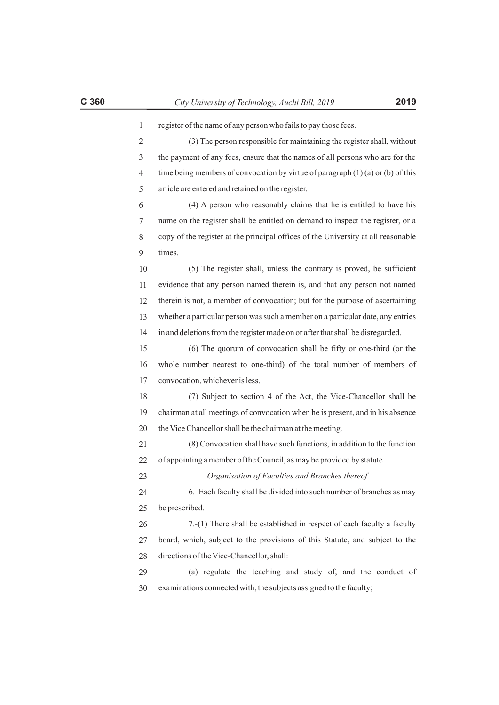| register of the name of any person who fails to pay those fees.                    |
|------------------------------------------------------------------------------------|
| (3) The person responsible for maintaining the register shall, without             |
| the payment of any fees, ensure that the names of all persons who are for the      |
| time being members of convocation by virtue of paragraph $(1)(a)$ or $(b)$ of this |
| article are entered and retained on the register.                                  |
| (4) A person who reasonably claims that he is entitled to have his                 |
| name on the register shall be entitled on demand to inspect the register, or a     |
| copy of the register at the principal offices of the University at all reasonable  |
| times.                                                                             |
| (5) The register shall, unless the contrary is proved, be sufficient               |
| evidence that any person named therein is, and that any person not named           |
| therein is not, a member of convocation; but for the purpose of ascertaining       |
| whether a particular person was such a member on a particular date, any entries    |
| in and deletions from the register made on or after that shall be disregarded.     |
| (6) The quorum of convocation shall be fifty or one-third (or the                  |
| whole number nearest to one-third) of the total number of members of               |
| convocation, whichever is less.                                                    |
| (7) Subject to section 4 of the Act, the Vice-Chancellor shall be                  |
| chairman at all meetings of convocation when he is present, and in his absence     |
| the Vice Chancellor shall be the chairman at the meeting.                          |

21 22 (8) Convocation shall have such functions, in addition to the function of appointing a member of the Council, as may be provided by statute

23 *Organisation of Faculties and Branches thereof*

24 25 6. Each faculty shall be divided into such number of branches as may be prescribed.

26 27 28 7.-(1) There shall be established in respect of each faculty a faculty board, which, subject to the provisions of this Statute, and subject to the directions of the Vice-Chancellor, shall:

29 30 (a) regulate the teaching and study of, and the conduct of examinations connected with, the subjects assigned to the faculty;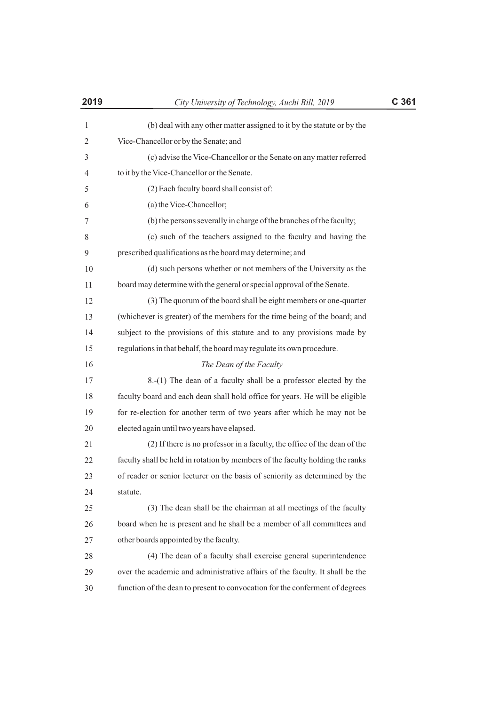| 2019         | City University of Technology, Auchi Bill, 2019                               | C 361 |
|--------------|-------------------------------------------------------------------------------|-------|
| $\mathbf{1}$ | (b) deal with any other matter assigned to it by the statute or by the        |       |
| 2            | Vice-Chancellor or by the Senate; and                                         |       |
| 3            | (c) advise the Vice-Chancellor or the Senate on any matter referred           |       |
| 4            | to it by the Vice-Chancellor or the Senate.                                   |       |
| 5            | (2) Each faculty board shall consist of:                                      |       |
| 6            | (a) the Vice-Chancellor;                                                      |       |
| 7            | (b) the persons severally in charge of the branches of the faculty;           |       |
| 8            | (c) such of the teachers assigned to the faculty and having the               |       |
| 9            | prescribed qualifications as the board may determine; and                     |       |
| 10           | (d) such persons whether or not members of the University as the              |       |
| 11           | board may determine with the general or special approval of the Senate.       |       |
| 12           | (3) The quorum of the board shall be eight members or one-quarter             |       |
| 13           | (whichever is greater) of the members for the time being of the board; and    |       |
| 14           | subject to the provisions of this statute and to any provisions made by       |       |
| 15           | regulations in that behalf, the board may regulate its own procedure.         |       |
| 16           | The Dean of the Faculty                                                       |       |
| 17           | 8.-(1) The dean of a faculty shall be a professor elected by the              |       |
| 18           | faculty board and each dean shall hold office for years. He will be eligible  |       |
| 19           | for re-election for another term of two years after which he may not be       |       |
| 20           | elected again until two years have elapsed.                                   |       |
| 21           | (2) If there is no professor in a faculty, the office of the dean of the      |       |
| 22           | faculty shall be held in rotation by members of the faculty holding the ranks |       |
| 23           | of reader or senior lecturer on the basis of seniority as determined by the   |       |
| 24           | statute.                                                                      |       |
| 25           | (3) The dean shall be the chairman at all meetings of the faculty             |       |
| 26           | board when he is present and he shall be a member of all committees and       |       |
| 27           | other boards appointed by the faculty.                                        |       |
| 28           | (4) The dean of a faculty shall exercise general superintendence              |       |
| 29           | over the academic and administrative affairs of the faculty. It shall be the  |       |
| 30           | function of the dean to present to convocation for the conferment of degrees  |       |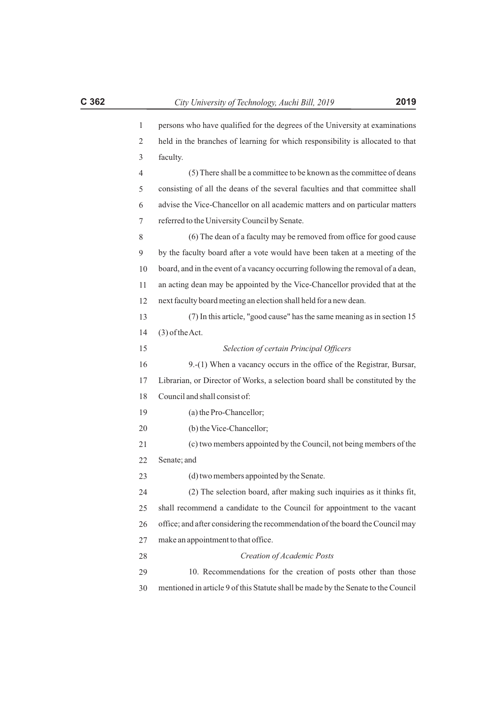| persons who have qualified for the degrees of the University at examinations   |
|--------------------------------------------------------------------------------|
| held in the branches of learning for which responsibility is allocated to that |
| faculty.                                                                       |

4 5 6 7 (5) There shall be a committee to be known as the committee of deans consisting of all the deans of the several faculties and that committee shall advise the Vice-Chancellor on all academic matters and on particular matters referred to the University Council by Senate.

8 9 10 11 12 13 14 15 16 17 18 19 20 21 22 23 24 25 26 27 28 29 30 (6) The dean of a faculty may be removed from office for good cause by the faculty board after a vote would have been taken at a meeting of the board, and in the event of a vacancy occurring following the removal of a dean, an acting dean may be appointed by the Vice-Chancellor provided that at the next faculty board meeting an election shall held for a new dean. (7) In this article, "good cause" has the same meaning as in section 15 (3) of the Act. *Selection of certain Principal Officers* 9.-(1) When a vacancy occurs in the office of the Registrar, Bursar, Librarian, or Director of Works, a selection board shall be constituted by the Council and shall consist of: (a) the Pro-Chancellor; (b) the Vice-Chancellor; (c) two members appointed by the Council, not being members of the Senate; and (d) two members appointed by the Senate. (2) The selection board, after making such inquiries as it thinks fit, shall recommend a candidate to the Council for appointment to the vacant office; and after considering the recommendation of the board the Council may make an appointment to that office. *Creation of Academic Posts* 10. Recommendations for the creation of posts other than those mentioned in article 9 of this Statute shall be made by the Senate to the Council

1 2 3